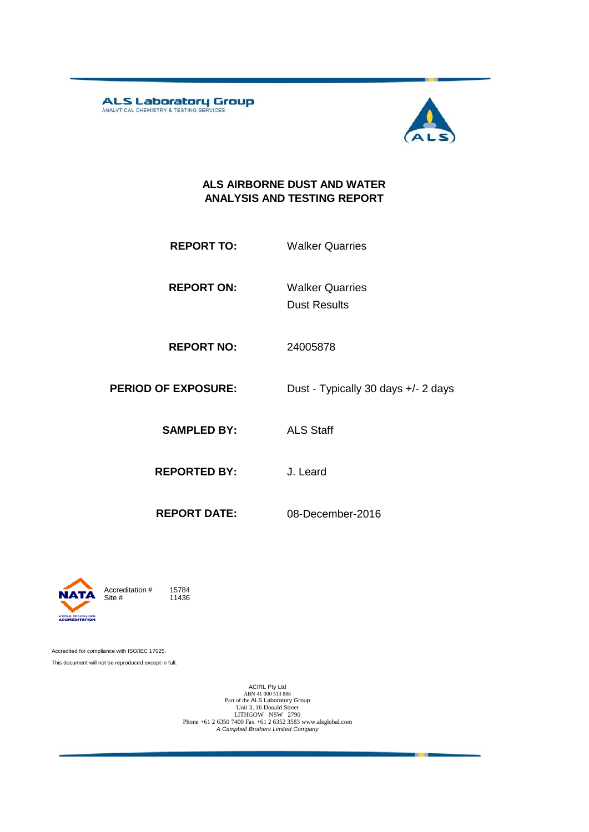ALS Laboratory Group



#### **ALS AIRBORNE DUST AND WATER ANALYSIS AND TESTING REPORT**

- **REPORT TO:** Walker Quarries
- **REPORT ON:** Dust Results Walker Quarries
- **REPORT NO:** 24005878
- **PERIOD OF EXPOSURE:** Dust Typically 30 days +/- 2 days

**SAMPLED BY:** ALS Staff

**REPORTED BY:** J. Leard

**REPORT DATE:** 08-December-2016



11436

Accredited for compliance with ISO/IEC 17025. This document will not be reproduced except in full.

ACIRL Pty Ltd<br>
ABN 41 000 513 888<br>
Part of the ALS Laboratory Group<br>
Unit 3, 16 Donald Street<br>
LITHGOW NSW 2790<br>
Phone +61 2 6350 7400 Fax +61 2 6352 3583 www.alsglobal.com<br> *A Campbell Brothers Limited Company*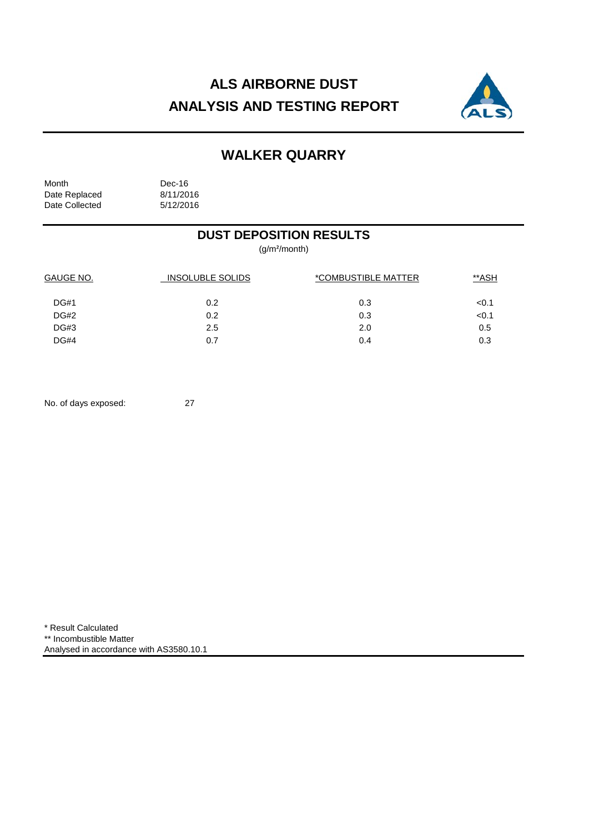# **ALS AIRBORNE DUST ANALYSIS AND TESTING REPORT**



## **WALKER QUARRY**

Month Dec-16<br>Date Replaced 8/11/2016 Date Replaced 8/11/2016<br>Date Collected 5/12/2016 Date Collected

### **DUST DEPOSITION RESULTS**

(g/m²/month)

| GAUGE NO.   | <b>INSOLUBLE SOLIDS</b> | *COMBUSTIBLE MATTER | **ASH |  |
|-------------|-------------------------|---------------------|-------|--|
| <b>DG#1</b> | 0.2                     | 0.3                 | < 0.1 |  |
| DG#2        | 0.2                     | 0.3                 | < 0.1 |  |
| DG#3        | 2.5                     | 2.0                 | 0.5   |  |
| DG#4        | 0.7                     | 0.4                 | 0.3   |  |

No. of days exposed: 27

\* Result Calculated \*\* Incombustible Matter Analysed in accordance with AS3580.10.1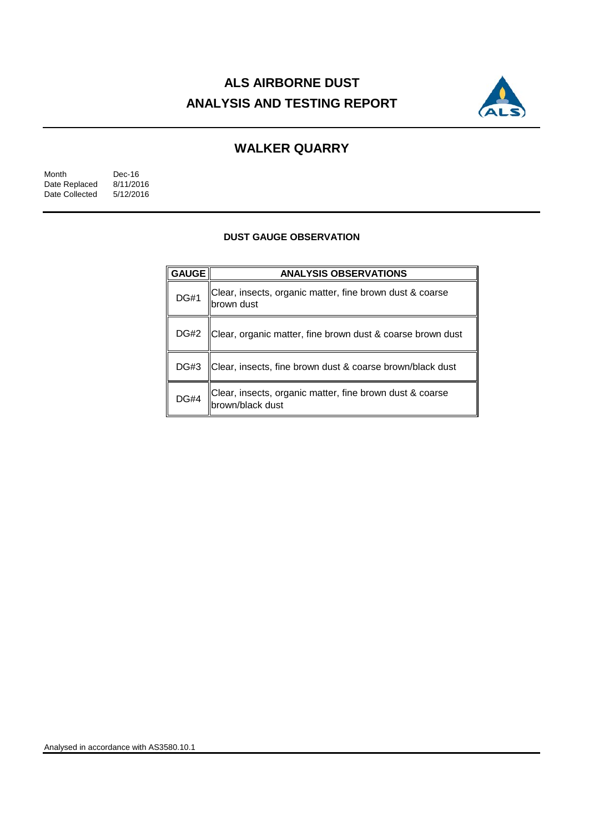# **ALS AIRBORNE DUST ANALYSIS AND TESTING REPORT**



## **WALKER QUARRY**

| Month          | Dec-16    |
|----------------|-----------|
| Date Replaced  | 8/11/2016 |
| Date Collected | 5/12/2016 |

#### **DUST GAUGE OBSERVATION**

| <b>GAUGE</b> | <b>ANALYSIS OBSERVATIONS</b>                                                 |  |  |
|--------------|------------------------------------------------------------------------------|--|--|
| <b>DG#1</b>  | Clear, insects, organic matter, fine brown dust & coarse<br>brown dust       |  |  |
| <b>DG#2</b>  | Clear, organic matter, fine brown dust & coarse brown dust                   |  |  |
| <b>DG#3</b>  | Clear, insects, fine brown dust & coarse brown/black dust                    |  |  |
| <b>DG#4</b>  | Clear, insects, organic matter, fine brown dust & coarse<br>brown/black dust |  |  |